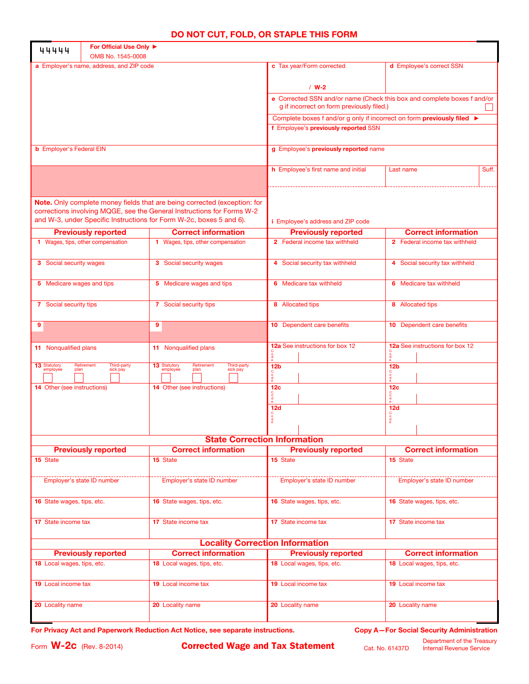## **DO NOT CUT, FOLD, OR STAPLE THIS FORM**

| 44444                            | For Official Use Only ▶<br>OMB No. 1545-0008 |                                                                                                                                                                                                                            |                                                                                                                      |                                                          |  |  |  |
|----------------------------------|----------------------------------------------|----------------------------------------------------------------------------------------------------------------------------------------------------------------------------------------------------------------------------|----------------------------------------------------------------------------------------------------------------------|----------------------------------------------------------|--|--|--|
|                                  | a Employer's name, address, and ZIP code     |                                                                                                                                                                                                                            | c Tax year/Form corrected                                                                                            | d Employee's correct SSN                                 |  |  |  |
|                                  |                                              |                                                                                                                                                                                                                            | $/ W-2$                                                                                                              |                                                          |  |  |  |
|                                  |                                              |                                                                                                                                                                                                                            | e Corrected SSN and/or name (Check this box and complete boxes f and/or<br>g if incorrect on form previously filed.) |                                                          |  |  |  |
|                                  |                                              |                                                                                                                                                                                                                            | Complete boxes f and/or g only if incorrect on form previously filed ▶                                               |                                                          |  |  |  |
|                                  |                                              |                                                                                                                                                                                                                            | f Employee's previously reported SSN                                                                                 |                                                          |  |  |  |
| <b>b</b> Employer's Federal EIN  |                                              |                                                                                                                                                                                                                            | g Employee's previously reported name                                                                                |                                                          |  |  |  |
|                                  |                                              |                                                                                                                                                                                                                            | h Employee's first name and initial                                                                                  | Suff.<br>Last name                                       |  |  |  |
|                                  |                                              | Note. Only complete money fields that are being corrected (exception: for<br>corrections involving MQGE, see the General Instructions for Forms W-2<br>and W-3, under Specific Instructions for Form W-2c, boxes 5 and 6). | <i>i</i> Employee's address and ZIP code                                                                             |                                                          |  |  |  |
|                                  | <b>Previously reported</b>                   | <b>Correct information</b>                                                                                                                                                                                                 | <b>Previously reported</b>                                                                                           | <b>Correct information</b>                               |  |  |  |
|                                  | 1 Wages, tips, other compensation            | 1 Wages, tips, other compensation                                                                                                                                                                                          | 2 Federal income tax withheld                                                                                        | 2 Federal income tax withheld                            |  |  |  |
| 3 Social security wages          |                                              | <b>3</b> Social security wages                                                                                                                                                                                             | 4 Social security tax withheld                                                                                       | 4 Social security tax withheld                           |  |  |  |
| 5 Medicare wages and tips        |                                              | 5 Medicare wages and tips                                                                                                                                                                                                  | 6 Medicare tax withheld                                                                                              | 6 Medicare tax withheld                                  |  |  |  |
| 7 Social security tips           |                                              | 7 Social security tips                                                                                                                                                                                                     | 8 Allocated tips                                                                                                     | 8 Allocated tips                                         |  |  |  |
| 9                                |                                              | 9                                                                                                                                                                                                                          | 10 Dependent care benefits                                                                                           | <b>10</b> Dependent care benefits                        |  |  |  |
| 11 Nonqualified plans            |                                              | 11 Nonqualified plans                                                                                                                                                                                                      | 12a See instructions for box 12                                                                                      | 12a See instructions for box 12                          |  |  |  |
| 13 Statutory<br>employee<br>plan | Retirement<br>Third-party<br>sick pay        | Retirement<br>Third-party<br>13 Statutory<br>employee<br>plan<br>sick pay                                                                                                                                                  | 12 <sub>b</sub>                                                                                                      | 12 <sub>b</sub>                                          |  |  |  |
| 14 Other (see instructions)      |                                              | <b>14</b> Other (see instructions)                                                                                                                                                                                         | 12 <sub>c</sub>                                                                                                      | 12 <sub>c</sub>                                          |  |  |  |
|                                  |                                              |                                                                                                                                                                                                                            | 12d                                                                                                                  | 12d<br>0000                                              |  |  |  |
|                                  |                                              | <b>State Correction Information</b>                                                                                                                                                                                        |                                                                                                                      |                                                          |  |  |  |
|                                  | <b>Previously reported</b>                   | <b>Correct information</b>                                                                                                                                                                                                 | <b>Previously reported</b>                                                                                           | <b>Correct information</b>                               |  |  |  |
| 15 State                         |                                              | 15 State                                                                                                                                                                                                                   | 15 State                                                                                                             | 15 State                                                 |  |  |  |
|                                  | Employer's state ID number                   | Employer's state ID number                                                                                                                                                                                                 | Employer's state ID number                                                                                           | Employer's state ID number                               |  |  |  |
| 16 State wages, tips, etc.       |                                              | 16 State wages, tips, etc.                                                                                                                                                                                                 | 16 State wages, tips, etc.                                                                                           | 16 State wages, tips, etc.                               |  |  |  |
| 17 State income tax              |                                              | 17 State income tax                                                                                                                                                                                                        | 17 State income tax                                                                                                  | 17 State income tax                                      |  |  |  |
|                                  |                                              | <b>Locality Correction Information</b>                                                                                                                                                                                     |                                                                                                                      |                                                          |  |  |  |
| 18 Local wages, tips, etc.       | <b>Previously reported</b>                   | <b>Correct information</b><br>18 Local wages, tips, etc.                                                                                                                                                                   | <b>Previously reported</b><br>18 Local wages, tips, etc.                                                             | <b>Correct information</b><br>18 Local wages, tips, etc. |  |  |  |
| <b>19</b> Local income tax       |                                              | <b>19</b> Local income tax                                                                                                                                                                                                 | 19 Local income tax                                                                                                  | <b>19</b> Local income tax                               |  |  |  |
| 20 Locality name                 |                                              | 20 Locality name                                                                                                                                                                                                           | 20 Locality name                                                                                                     | 20 Locality name                                         |  |  |  |

For Privacy Act and Paperwork Reduction Act Notice, see separate instructions. **Copy A–For Social Security Administration**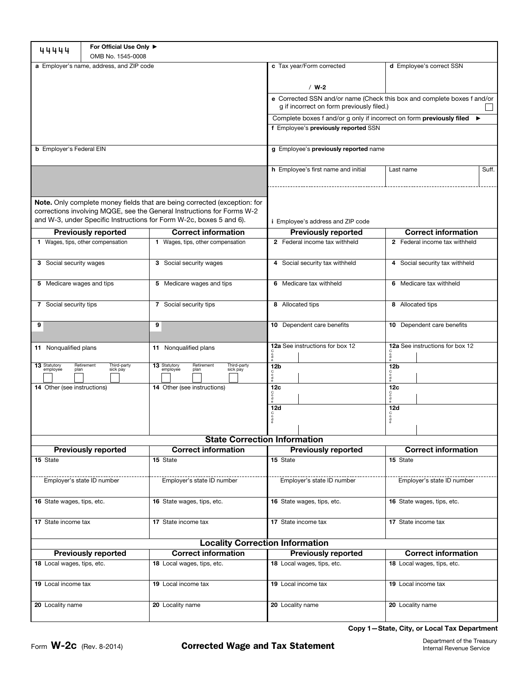| 44444                                                                                                                                                                                                                      | For Official Use Only ▶<br>OMB No. 1545-0008 |                                                                           |                                                                                                                      |                                      |  |  |  |
|----------------------------------------------------------------------------------------------------------------------------------------------------------------------------------------------------------------------------|----------------------------------------------|---------------------------------------------------------------------------|----------------------------------------------------------------------------------------------------------------------|--------------------------------------|--|--|--|
| a Employer's name, address, and ZIP code                                                                                                                                                                                   |                                              |                                                                           | c Tax year/Form corrected                                                                                            | d Employee's correct SSN             |  |  |  |
|                                                                                                                                                                                                                            |                                              |                                                                           | $/$ W-2                                                                                                              |                                      |  |  |  |
|                                                                                                                                                                                                                            |                                              |                                                                           | e Corrected SSN and/or name (Check this box and complete boxes f and/or<br>g if incorrect on form previously filed.) |                                      |  |  |  |
|                                                                                                                                                                                                                            |                                              |                                                                           | Complete boxes f and/or g only if incorrect on form previously filed ▶                                               |                                      |  |  |  |
|                                                                                                                                                                                                                            |                                              |                                                                           | f Employee's previously reported SSN                                                                                 |                                      |  |  |  |
| <b>b</b> Employer's Federal EIN                                                                                                                                                                                            |                                              |                                                                           | g Employee's previously reported name                                                                                |                                      |  |  |  |
|                                                                                                                                                                                                                            |                                              |                                                                           | h Employee's first name and initial                                                                                  | Suff.<br>Last name                   |  |  |  |
|                                                                                                                                                                                                                            |                                              |                                                                           |                                                                                                                      |                                      |  |  |  |
| Note. Only complete money fields that are being corrected (exception: for<br>corrections involving MQGE, see the General Instructions for Forms W-2<br>and W-3, under Specific Instructions for Form W-2c, boxes 5 and 6). |                                              |                                                                           | <i>i</i> Employee's address and ZIP code                                                                             |                                      |  |  |  |
|                                                                                                                                                                                                                            | <b>Previously reported</b>                   | <b>Correct information</b>                                                | <b>Previously reported</b>                                                                                           | <b>Correct information</b>           |  |  |  |
|                                                                                                                                                                                                                            | 1 Wages, tips, other compensation            | 1 Wages, tips, other compensation                                         | 2 Federal income tax withheld                                                                                        | 2 Federal income tax withheld        |  |  |  |
| 3 Social security wages                                                                                                                                                                                                    |                                              | 3 Social security wages                                                   | 4 Social security tax withheld                                                                                       | 4 Social security tax withheld       |  |  |  |
| 5 Medicare wages and tips                                                                                                                                                                                                  |                                              | 5 Medicare wages and tips                                                 | 6 Medicare tax withheld                                                                                              | 6 Medicare tax withheld              |  |  |  |
| 7 Social security tips                                                                                                                                                                                                     |                                              | 7 Social security tips                                                    | 8 Allocated tips                                                                                                     | 8 Allocated tips                     |  |  |  |
| 9                                                                                                                                                                                                                          |                                              | 9                                                                         | 10 Dependent care benefits                                                                                           | 10 Dependent care benefits           |  |  |  |
| 11 Nonqualified plans                                                                                                                                                                                                      |                                              | 11 Nonqualified plans                                                     | 12a See instructions for box 12<br>0 <sup>o</sup>                                                                    | 12a See instructions for box 12<br>å |  |  |  |
| 13 Statutory<br>employee<br>plan                                                                                                                                                                                           | Retirement<br>Third-party<br>sick pay        | 13 Statutory<br>Retirement<br>Third-party<br>employee<br>sick pay<br>plan | 12 <sub>b</sub><br>$\frac{0}{d}$                                                                                     | 12 <sub>b</sub><br>å                 |  |  |  |
| 14 Other (see instructions)                                                                                                                                                                                                |                                              | 14 Other (see instructions)                                               | 12c<br>$\frac{0}{\alpha}$                                                                                            | 12c                                  |  |  |  |
|                                                                                                                                                                                                                            |                                              |                                                                           | 12d                                                                                                                  | 12d                                  |  |  |  |
|                                                                                                                                                                                                                            |                                              |                                                                           | 0000                                                                                                                 | $\frac{1}{6}$                        |  |  |  |
|                                                                                                                                                                                                                            |                                              | <b>State Correction Information</b>                                       |                                                                                                                      |                                      |  |  |  |
|                                                                                                                                                                                                                            | <b>Previously reported</b>                   | <b>Correct information</b>                                                | <b>Previously reported</b>                                                                                           | <b>Correct information</b>           |  |  |  |
| 15 State                                                                                                                                                                                                                   |                                              | 15 State                                                                  | 15 State                                                                                                             | 15 State                             |  |  |  |
|                                                                                                                                                                                                                            | Employer's state ID number                   | Employer's state ID number                                                | Employer's state ID number                                                                                           | Employer's state ID number           |  |  |  |
| 16 State wages, tips, etc.                                                                                                                                                                                                 |                                              | 16 State wages, tips, etc.                                                | 16 State wages, tips, etc.                                                                                           | 16 State wages, tips, etc.           |  |  |  |
| 17 State income tax                                                                                                                                                                                                        |                                              | 17 State income tax                                                       | 17 State income tax                                                                                                  | 17 State income tax                  |  |  |  |
|                                                                                                                                                                                                                            |                                              | <b>Locality Correction Information</b>                                    |                                                                                                                      |                                      |  |  |  |
| <b>Correct information</b><br><b>Previously reported</b>                                                                                                                                                                   |                                              | <b>Previously reported</b>                                                | <b>Correct information</b>                                                                                           |                                      |  |  |  |
| 18 Local wages, tips, etc.                                                                                                                                                                                                 |                                              | 18 Local wages, tips, etc.                                                | 18 Local wages, tips, etc.                                                                                           | 18 Local wages, tips, etc.           |  |  |  |
| 19 Local income tax                                                                                                                                                                                                        |                                              | 19 Local income tax                                                       | 19 Local income tax                                                                                                  | 19 Local income tax                  |  |  |  |
| 20 Locality name                                                                                                                                                                                                           |                                              | 20 Locality name                                                          | 20 Locality name                                                                                                     | 20 Locality name                     |  |  |  |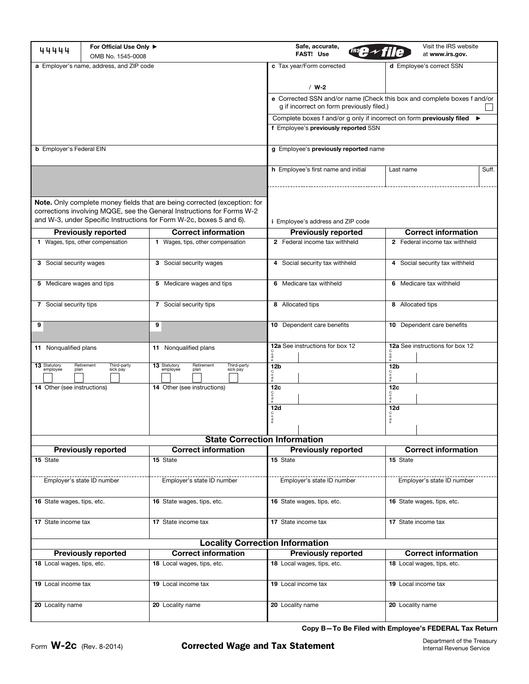| For Official Use Only ▶<br>44444<br>OMB No. 1545-0008    |                                                                                                                                                                                                                            |                                                                           | Safe, accurate,<br><b>FAST! Use</b>                                                                                  |                            |                                 | Visit the IRS website<br>at www.irs.gov. |       |
|----------------------------------------------------------|----------------------------------------------------------------------------------------------------------------------------------------------------------------------------------------------------------------------------|---------------------------------------------------------------------------|----------------------------------------------------------------------------------------------------------------------|----------------------------|---------------------------------|------------------------------------------|-------|
| a Employer's name, address, and ZIP code                 |                                                                                                                                                                                                                            |                                                                           | c Tax year/Form corrected                                                                                            |                            |                                 | d Employee's correct SSN                 |       |
|                                                          |                                                                                                                                                                                                                            |                                                                           | $/$ W-2                                                                                                              |                            |                                 |                                          |       |
|                                                          |                                                                                                                                                                                                                            |                                                                           | e Corrected SSN and/or name (Check this box and complete boxes f and/or<br>g if incorrect on form previously filed.) |                            |                                 |                                          |       |
|                                                          |                                                                                                                                                                                                                            |                                                                           | Complete boxes f and/or g only if incorrect on form previously filed<br>$\blacktriangleright$                        |                            |                                 |                                          |       |
|                                                          |                                                                                                                                                                                                                            |                                                                           | f Employee's previously reported SSN                                                                                 |                            |                                 |                                          |       |
| <b>b</b> Employer's Federal EIN                          |                                                                                                                                                                                                                            |                                                                           | g Employee's previously reported name                                                                                |                            |                                 |                                          |       |
|                                                          |                                                                                                                                                                                                                            |                                                                           | <b>h</b> Employee's first name and initial                                                                           |                            | Last name                       |                                          | Suff. |
|                                                          | Note. Only complete money fields that are being corrected (exception: for<br>corrections involving MQGE, see the General Instructions for Forms W-2<br>and W-3, under Specific Instructions for Form W-2c, boxes 5 and 6). | <i>i</i> Employee's address and ZIP code                                  |                                                                                                                      |                            |                                 |                                          |       |
|                                                          | <b>Previously reported</b>                                                                                                                                                                                                 | <b>Correct information</b>                                                | <b>Previously reported</b>                                                                                           |                            |                                 | <b>Correct information</b>               |       |
|                                                          | 1 Wages, tips, other compensation                                                                                                                                                                                          | 1 Wages, tips, other compensation                                         | 2 Federal income tax withheld                                                                                        |                            | 2 Federal income tax withheld   |                                          |       |
| 3 Social security wages                                  |                                                                                                                                                                                                                            | 3 Social security wages                                                   | 4 Social security tax withheld                                                                                       |                            | 4 Social security tax withheld  |                                          |       |
| 5 Medicare wages and tips                                |                                                                                                                                                                                                                            | 5 Medicare wages and tips                                                 | 6 Medicare tax withheld                                                                                              |                            | 6 Medicare tax withheld         |                                          |       |
| 7 Social security tips                                   |                                                                                                                                                                                                                            | 7 Social security tips                                                    | 8 Allocated tips                                                                                                     |                            | 8 Allocated tips                |                                          |       |
| 9                                                        |                                                                                                                                                                                                                            | 9                                                                         | 10 Dependent care benefits                                                                                           |                            | 10 Dependent care benefits      |                                          |       |
| 11 Nonqualified plans                                    |                                                                                                                                                                                                                            | 11 Nonqualified plans                                                     | 12a See instructions for box 12<br>å                                                                                 |                            | 12a See instructions for box 12 |                                          |       |
| 13 Statutory<br>employee<br>plan                         | Retirement<br>Third-party<br>sick pay                                                                                                                                                                                      | 13 Statutory<br>Retirement<br>Third-party<br>employee<br>plan<br>sick pay | 12 <sub>b</sub>                                                                                                      |                            | 12 <sub>b</sub>                 |                                          |       |
| 14 Other (see instructions)                              |                                                                                                                                                                                                                            | <b>14</b> Other (see instructions)                                        | 12c                                                                                                                  |                            | 12c                             |                                          |       |
|                                                          |                                                                                                                                                                                                                            |                                                                           | 12d                                                                                                                  |                            | 12d                             |                                          |       |
|                                                          |                                                                                                                                                                                                                            |                                                                           |                                                                                                                      |                            |                                 |                                          |       |
|                                                          |                                                                                                                                                                                                                            | <b>State Correction Information</b>                                       |                                                                                                                      |                            |                                 |                                          |       |
| <b>Correct information</b><br><b>Previously reported</b> |                                                                                                                                                                                                                            |                                                                           | <b>Correct information</b><br><b>Previously reported</b>                                                             |                            |                                 |                                          |       |
| 15 State                                                 |                                                                                                                                                                                                                            | 15 State                                                                  | 15 State                                                                                                             |                            | 15 State                        |                                          |       |
|                                                          | Employer's state ID number                                                                                                                                                                                                 | Employer's state ID number                                                | Employer's state ID number                                                                                           |                            | Employer's state ID number      |                                          |       |
| 16 State wages, tips, etc.                               |                                                                                                                                                                                                                            | 16 State wages, tips, etc.                                                | 16 State wages, tips, etc.                                                                                           |                            | 16 State wages, tips, etc.      |                                          |       |
| 17 State income tax                                      |                                                                                                                                                                                                                            | 17 State income tax                                                       | 17 State income tax                                                                                                  |                            | 17 State income tax             |                                          |       |
|                                                          |                                                                                                                                                                                                                            | <b>Locality Correction Information</b>                                    |                                                                                                                      |                            |                                 |                                          |       |
| <b>Correct information</b><br><b>Previously reported</b> |                                                                                                                                                                                                                            | <b>Previously reported</b>                                                |                                                                                                                      | <b>Correct information</b> |                                 |                                          |       |
| 18 Local wages, tips, etc.                               |                                                                                                                                                                                                                            | 18 Local wages, tips, etc.                                                | 18 Local wages, tips, etc.                                                                                           |                            | 18 Local wages, tips, etc.      |                                          |       |
| 19 Local income tax                                      |                                                                                                                                                                                                                            | 19 Local income tax                                                       | 19 Local income tax<br>19 Local income tax                                                                           |                            |                                 |                                          |       |
| 20 Locality name<br>20 Locality name                     |                                                                                                                                                                                                                            | 20 Locality name                                                          |                                                                                                                      | 20 Locality name           |                                 |                                          |       |

**Copy B—To Be Filed with Employee's FEDERAL Tax Return**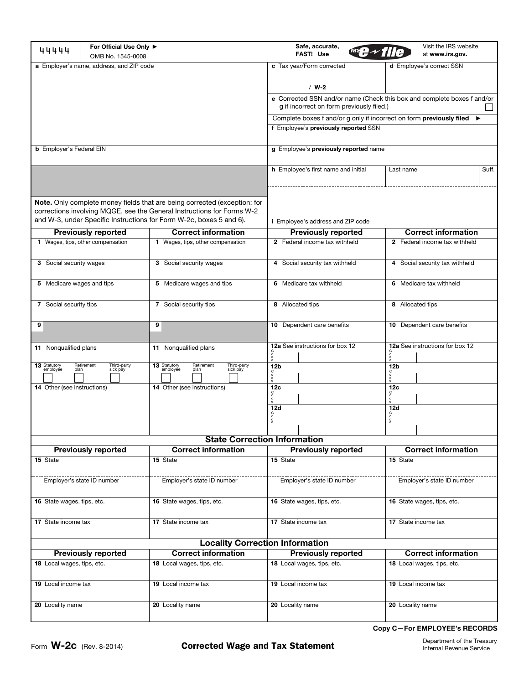| For Official Use Only ▶<br>44444<br>OMB No. 1545-0008    |                                       |                                                                                                                                                                                                                            | Safe, accurate,<br>FAST! Use                                                                                         |                                 |                                | Visit the IRS website<br>at www.irs.gov. |  |  |
|----------------------------------------------------------|---------------------------------------|----------------------------------------------------------------------------------------------------------------------------------------------------------------------------------------------------------------------------|----------------------------------------------------------------------------------------------------------------------|---------------------------------|--------------------------------|------------------------------------------|--|--|
| a Employer's name, address, and ZIP code                 |                                       |                                                                                                                                                                                                                            | c Tax year/Form corrected                                                                                            |                                 | d Employee's correct SSN       |                                          |  |  |
|                                                          |                                       |                                                                                                                                                                                                                            | $/$ W-2                                                                                                              |                                 |                                |                                          |  |  |
|                                                          |                                       |                                                                                                                                                                                                                            | e Corrected SSN and/or name (Check this box and complete boxes f and/or<br>g if incorrect on form previously filed.) |                                 |                                |                                          |  |  |
|                                                          |                                       |                                                                                                                                                                                                                            | Complete boxes f and/or g only if incorrect on form previously filed                                                 |                                 |                                | $\blacktriangleright$                    |  |  |
|                                                          |                                       |                                                                                                                                                                                                                            | f Employee's previously reported SSN                                                                                 |                                 |                                |                                          |  |  |
| <b>b</b> Employer's Federal EIN                          |                                       |                                                                                                                                                                                                                            | g Employee's previously reported name                                                                                |                                 |                                |                                          |  |  |
|                                                          |                                       |                                                                                                                                                                                                                            | <b>h</b> Employee's first name and initial                                                                           |                                 | Last name                      | Suff.                                    |  |  |
|                                                          |                                       | Note. Only complete money fields that are being corrected (exception: for<br>corrections involving MQGE, see the General Instructions for Forms W-2<br>and W-3, under Specific Instructions for Form W-2c, boxes 5 and 6). | <i>i</i> Employee's address and ZIP code                                                                             |                                 |                                |                                          |  |  |
|                                                          | <b>Previously reported</b>            | <b>Correct information</b>                                                                                                                                                                                                 | <b>Previously reported</b>                                                                                           |                                 | <b>Correct information</b>     |                                          |  |  |
|                                                          | 1 Wages, tips, other compensation     | 1 Wages, tips, other compensation                                                                                                                                                                                          | 2 Federal income tax withheld                                                                                        |                                 |                                | 2 Federal income tax withheld            |  |  |
| 3 Social security wages                                  |                                       | 3 Social security wages                                                                                                                                                                                                    | 4 Social security tax withheld                                                                                       |                                 | 4 Social security tax withheld |                                          |  |  |
| 5 Medicare wages and tips                                |                                       | 5 Medicare wages and tips                                                                                                                                                                                                  | 6 Medicare tax withheld                                                                                              |                                 | 6 Medicare tax withheld        |                                          |  |  |
| 7 Social security tips                                   |                                       | 7 Social security tips                                                                                                                                                                                                     | 8 Allocated tips                                                                                                     |                                 | 8 Allocated tips               |                                          |  |  |
| 9                                                        |                                       | 9                                                                                                                                                                                                                          | 10 Dependent care benefits                                                                                           |                                 | 10 Dependent care benefits     |                                          |  |  |
| 11 Nonqualified plans                                    |                                       | 11 Nonqualified plans                                                                                                                                                                                                      | 12a See instructions for box 12<br>å                                                                                 | 12a See instructions for box 12 |                                |                                          |  |  |
| 13 Statutory<br>employee<br>plan                         | Retirement<br>Third-party<br>sick pay | 13 Statutory<br>Retirement<br>Third-party<br>employee<br>sick pay<br>plan                                                                                                                                                  | 12 <sub>b</sub><br>12 <sub>b</sub>                                                                                   |                                 |                                |                                          |  |  |
| 14 Other (see instructions)                              |                                       | 14 Other (see instructions)                                                                                                                                                                                                | 12c                                                                                                                  |                                 | 12c                            |                                          |  |  |
|                                                          |                                       |                                                                                                                                                                                                                            | 12d<br>å                                                                                                             |                                 | 12d<br>å                       |                                          |  |  |
|                                                          |                                       |                                                                                                                                                                                                                            |                                                                                                                      |                                 |                                |                                          |  |  |
|                                                          | <b>Previously reported</b>            | <b>State Correction Information</b><br><b>Correct information</b>                                                                                                                                                          | <b>Previously reported</b>                                                                                           |                                 |                                | <b>Correct information</b>               |  |  |
| 15 State                                                 |                                       | 15 State                                                                                                                                                                                                                   | 15 State<br>15 State                                                                                                 |                                 |                                |                                          |  |  |
|                                                          |                                       |                                                                                                                                                                                                                            |                                                                                                                      |                                 |                                |                                          |  |  |
|                                                          | Employer's state ID number            | Employer's state ID number                                                                                                                                                                                                 | Employer's state ID number                                                                                           |                                 | Employer's state ID number     |                                          |  |  |
| 16 State wages, tips, etc.                               |                                       | 16 State wages, tips, etc.                                                                                                                                                                                                 | 16 State wages, tips, etc.                                                                                           |                                 | 16 State wages, tips, etc.     |                                          |  |  |
| 17 State income tax                                      |                                       | 17 State income tax                                                                                                                                                                                                        | 17 State income tax                                                                                                  |                                 | 17 State income tax            |                                          |  |  |
|                                                          |                                       | <b>Locality Correction Information</b>                                                                                                                                                                                     |                                                                                                                      |                                 |                                |                                          |  |  |
| <b>Correct information</b><br><b>Previously reported</b> |                                       | <b>Previously reported</b>                                                                                                                                                                                                 |                                                                                                                      | <b>Correct information</b>      |                                |                                          |  |  |
| 18 Local wages, tips, etc.                               |                                       | 18 Local wages, tips, etc.                                                                                                                                                                                                 | 18 Local wages, tips, etc.                                                                                           |                                 | 18 Local wages, tips, etc.     |                                          |  |  |
| 19 Local income tax                                      |                                       | 19 Local income tax                                                                                                                                                                                                        | 19 Local income tax                                                                                                  |                                 | 19 Local income tax            |                                          |  |  |
| 20 Locality name                                         |                                       | 20 Locality name                                                                                                                                                                                                           | 20 Locality name                                                                                                     |                                 | 20 Locality name               |                                          |  |  |

**Copy C—For EMPLOYEE's RECORDS**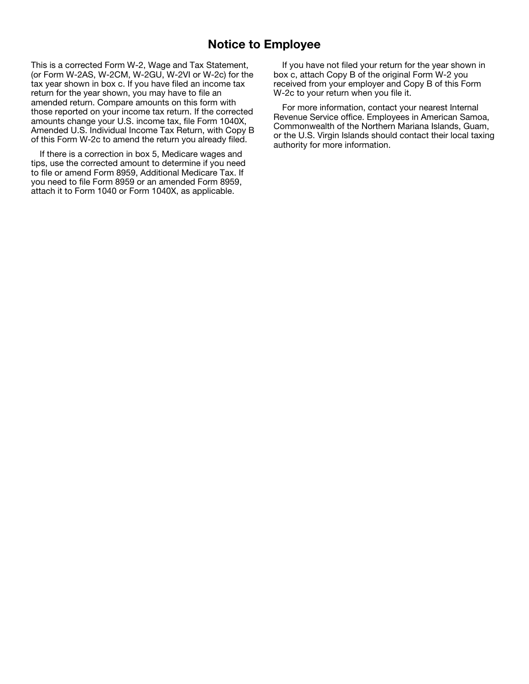## **Notice to Employee**

This is a corrected Form W-2, Wage and Tax Statement, (or Form W-2AS, W-2CM, W-2GU, W-2VI or W-2c) for the tax year shown in box c. If you have filed an income tax return for the year shown, you may have to file an amended return. Compare amounts on this form with those reported on your income tax return. If the corrected amounts change your U.S. income tax, file Form 1040X, Amended U.S. Individual Income Tax Return, with Copy B of this Form W-2c to amend the return you already filed.

If there is a correction in box 5, Medicare wages and tips, use the corrected amount to determine if you need to file or amend Form 8959, Additional Medicare Tax. If you need to file Form 8959 or an amended Form 8959, attach it to Form 1040 or Form 1040X, as applicable.

If you have not filed your return for the year shown in box c, attach Copy B of the original Form W-2 you received from your employer and Copy B of this Form W-2c to your return when you file it.

For more information, contact your nearest Internal Revenue Service office. Employees in American Samoa, Commonwealth of the Northern Mariana Islands, Guam, or the U.S. Virgin Islands should contact their local taxing authority for more information.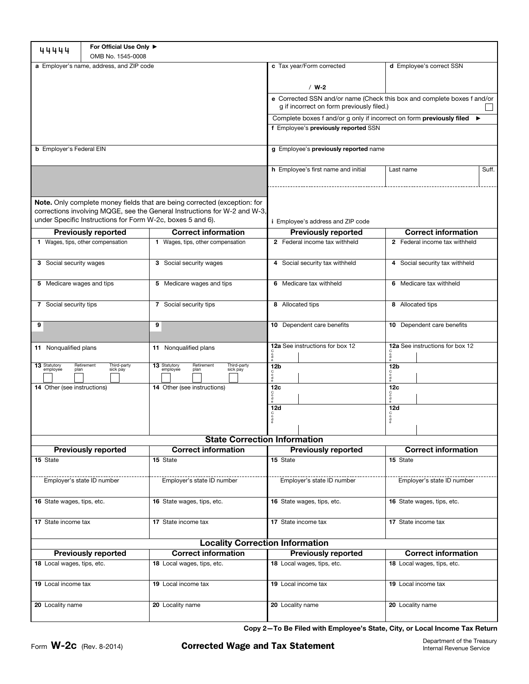| 44444                                                                                                                                                                                                                | For Official Use Only ▶<br>OMB No. 1545-0008 |                                                                           |                                                                                                                      |                                 |  |  |
|----------------------------------------------------------------------------------------------------------------------------------------------------------------------------------------------------------------------|----------------------------------------------|---------------------------------------------------------------------------|----------------------------------------------------------------------------------------------------------------------|---------------------------------|--|--|
| a Employer's name, address, and ZIP code                                                                                                                                                                             |                                              |                                                                           | c Tax year/Form corrected                                                                                            | d Employee's correct SSN        |  |  |
|                                                                                                                                                                                                                      |                                              |                                                                           | $/$ W-2                                                                                                              |                                 |  |  |
|                                                                                                                                                                                                                      |                                              |                                                                           | e Corrected SSN and/or name (Check this box and complete boxes f and/or<br>g if incorrect on form previously filed.) |                                 |  |  |
|                                                                                                                                                                                                                      |                                              |                                                                           | Complete boxes f and/or g only if incorrect on form previously filed                                                 | ▸                               |  |  |
|                                                                                                                                                                                                                      |                                              |                                                                           | f Employee's previously reported SSN                                                                                 |                                 |  |  |
| <b>b</b> Employer's Federal EIN                                                                                                                                                                                      |                                              |                                                                           | g Employee's previously reported name                                                                                |                                 |  |  |
|                                                                                                                                                                                                                      |                                              |                                                                           | h Employee's first name and initial                                                                                  | Last name<br>Suff.              |  |  |
| Note. Only complete money fields that are being corrected (exception: for<br>corrections involving MQGE, see the General Instructions for W-2 and W-3,<br>under Specific Instructions for Form W-2c, boxes 5 and 6). |                                              |                                                                           | <i>i</i> Employee's address and ZIP code                                                                             |                                 |  |  |
|                                                                                                                                                                                                                      | <b>Previously reported</b>                   | <b>Correct information</b>                                                | <b>Previously reported</b>                                                                                           | <b>Correct information</b>      |  |  |
|                                                                                                                                                                                                                      | 1 Wages, tips, other compensation            | 1 Wages, tips, other compensation                                         | 2 Federal income tax withheld<br>2 Federal income tax withheld                                                       |                                 |  |  |
| 3 Social security wages                                                                                                                                                                                              |                                              | 3 Social security wages                                                   | 4 Social security tax withheld                                                                                       | 4 Social security tax withheld  |  |  |
| 5 Medicare wages and tips                                                                                                                                                                                            |                                              | 5 Medicare wages and tips                                                 | 6 Medicare tax withheld                                                                                              | 6 Medicare tax withheld         |  |  |
| 7 Social security tips                                                                                                                                                                                               |                                              | 7 Social security tips                                                    | 8 Allocated tips                                                                                                     | 8 Allocated tips                |  |  |
| 9                                                                                                                                                                                                                    |                                              | 9                                                                         | 10 Dependent care benefits                                                                                           | 10 Dependent care benefits      |  |  |
| 11 Nonqualified plans                                                                                                                                                                                                |                                              | 11 Nonqualified plans                                                     | 12a See instructions for box 12<br>å                                                                                 | 12a See instructions for box 12 |  |  |
| 13 Statutory<br>employee<br>plan                                                                                                                                                                                     | Retirement<br>Third-party<br>sick pay        | 13 Statutory<br>Retirement<br>Third-party<br>employee<br>sick pay<br>plan | 12 <sub>b</sub>                                                                                                      | 12 <sub>b</sub>                 |  |  |
| 14 Other (see instructions)                                                                                                                                                                                          |                                              | 14 Other (see instructions)                                               | 12c<br>12c                                                                                                           |                                 |  |  |
|                                                                                                                                                                                                                      |                                              |                                                                           | <b>12d</b><br>$_{\mathtt{Q}}^{\mathtt{C}}$                                                                           | 12d<br>$\frac{0}{6}$            |  |  |
|                                                                                                                                                                                                                      |                                              |                                                                           |                                                                                                                      |                                 |  |  |
|                                                                                                                                                                                                                      |                                              | <b>State Correction Information</b>                                       |                                                                                                                      | <b>Correct information</b>      |  |  |
| 15 State                                                                                                                                                                                                             | <b>Previously reported</b>                   | <b>Correct information</b><br>15 State                                    | <b>Previously reported</b><br>15 State<br>15 State                                                                   |                                 |  |  |
|                                                                                                                                                                                                                      |                                              |                                                                           |                                                                                                                      |                                 |  |  |
|                                                                                                                                                                                                                      | Employer's state ID number                   | Employer's state ID number                                                | Employer's state ID number                                                                                           | Employer's state ID number      |  |  |
| 16 State wages, tips, etc.                                                                                                                                                                                           |                                              | 16 State wages, tips, etc.                                                | 16 State wages, tips, etc.                                                                                           | 16 State wages, tips, etc.      |  |  |
| 17 State income tax                                                                                                                                                                                                  |                                              | 17 State income tax                                                       | 17 State income tax                                                                                                  | 17 State income tax             |  |  |
|                                                                                                                                                                                                                      |                                              | <b>Locality Correction Information</b>                                    |                                                                                                                      |                                 |  |  |
|                                                                                                                                                                                                                      | <b>Previously reported</b>                   | <b>Correct information</b>                                                | <b>Previously reported</b>                                                                                           | <b>Correct information</b>      |  |  |
| 18 Local wages, tips, etc.                                                                                                                                                                                           |                                              | 18 Local wages, tips, etc.                                                | 18 Local wages, tips, etc.                                                                                           | 18 Local wages, tips, etc.      |  |  |
| 19 Local income tax                                                                                                                                                                                                  |                                              | 19 Local income tax                                                       | 19 Local income tax<br>19 Local income tax                                                                           |                                 |  |  |
| 20 Locality name                                                                                                                                                                                                     |                                              | 20 Locality name                                                          | 20 Locality name                                                                                                     | 20 Locality name                |  |  |

**Copy 2—To Be Filed with Employee's State, City, or Local Income Tax Return**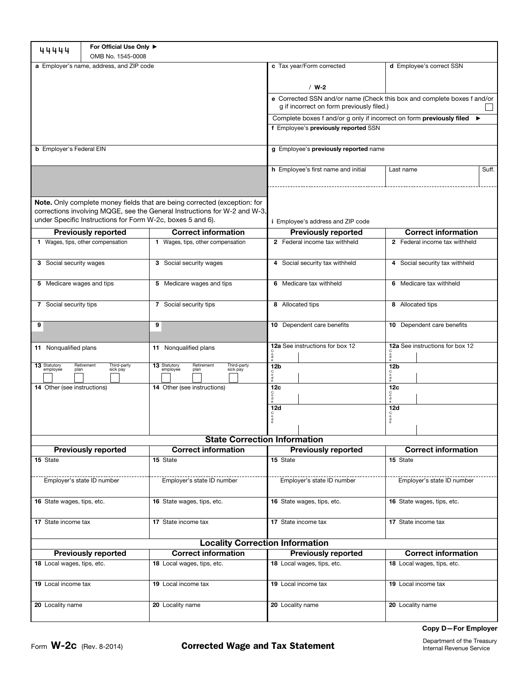| 44444                                                    | For Official Use Only ▶<br>OMB No. 1545-0008               |                                                                                                                                                        |                                                                                                                      |                                      |  |  |
|----------------------------------------------------------|------------------------------------------------------------|--------------------------------------------------------------------------------------------------------------------------------------------------------|----------------------------------------------------------------------------------------------------------------------|--------------------------------------|--|--|
| a Employer's name, address, and ZIP code                 |                                                            |                                                                                                                                                        | c Tax year/Form corrected                                                                                            | d Employee's correct SSN             |  |  |
|                                                          |                                                            |                                                                                                                                                        | $/$ W-2                                                                                                              |                                      |  |  |
|                                                          |                                                            |                                                                                                                                                        | e Corrected SSN and/or name (Check this box and complete boxes f and/or<br>g if incorrect on form previously filed.) |                                      |  |  |
|                                                          |                                                            |                                                                                                                                                        | Complete boxes f and/or g only if incorrect on form previously filed ▶                                               |                                      |  |  |
|                                                          |                                                            |                                                                                                                                                        | f Employee's previously reported SSN                                                                                 |                                      |  |  |
| <b>b</b> Employer's Federal EIN                          |                                                            |                                                                                                                                                        | g Employee's previously reported name                                                                                |                                      |  |  |
|                                                          |                                                            |                                                                                                                                                        | h Employee's first name and initial                                                                                  | Last name<br>Suff.                   |  |  |
|                                                          | under Specific Instructions for Form W-2c, boxes 5 and 6). | Note. Only complete money fields that are being corrected (exception: for<br>corrections involving MQGE, see the General Instructions for W-2 and W-3, | <i>i</i> Employee's address and ZIP code                                                                             |                                      |  |  |
|                                                          | <b>Previously reported</b>                                 | <b>Correct information</b>                                                                                                                             | <b>Previously reported</b>                                                                                           | <b>Correct information</b>           |  |  |
|                                                          | 1 Wages, tips, other compensation                          | 1 Wages, tips, other compensation                                                                                                                      | 2 Federal income tax withheld                                                                                        | 2 Federal income tax withheld        |  |  |
| 3 Social security wages                                  |                                                            | 3 Social security wages                                                                                                                                | 4 Social security tax withheld                                                                                       | 4 Social security tax withheld       |  |  |
| 5 Medicare wages and tips                                |                                                            | 5 Medicare wages and tips                                                                                                                              | 6 Medicare tax withheld                                                                                              | 6 Medicare tax withheld              |  |  |
| 7 Social security tips                                   |                                                            | 7 Social security tips                                                                                                                                 | 8 Allocated tips                                                                                                     | 8 Allocated tips                     |  |  |
| 9                                                        |                                                            | 9                                                                                                                                                      | 10 Dependent care benefits                                                                                           | 10 Dependent care benefits           |  |  |
| 11 Nonqualified plans                                    |                                                            | 11 Nonqualified plans                                                                                                                                  | 12a See instructions for box 12<br>0 <sup>o</sup>                                                                    | 12a See instructions for box 12<br>å |  |  |
| 13 Statutory<br>employee<br>plan                         | Retirement<br>Third-party<br>sick pay                      | 13 Statutory<br>Retirement<br>Third-party<br>employee<br>sick pay<br>plan                                                                              | 12 <sub>b</sub><br>å                                                                                                 | 12 <sub>b</sub><br>å                 |  |  |
| 14 Other (see instructions)                              |                                                            | 14 Other (see instructions)                                                                                                                            | 12c<br>å                                                                                                             | 12c                                  |  |  |
|                                                          |                                                            |                                                                                                                                                        | 12d                                                                                                                  | 12d                                  |  |  |
|                                                          |                                                            |                                                                                                                                                        | 0000                                                                                                                 | $\frac{1}{9}$                        |  |  |
|                                                          |                                                            | <b>State Correction Information</b>                                                                                                                    |                                                                                                                      |                                      |  |  |
|                                                          | <b>Previously reported</b>                                 | <b>Correct information</b>                                                                                                                             | <b>Previously reported</b>                                                                                           | <b>Correct information</b>           |  |  |
| 15 State                                                 |                                                            | 15 State                                                                                                                                               | 15 State                                                                                                             | 15 State                             |  |  |
|                                                          | Employer's state ID number                                 | Employer's state ID number                                                                                                                             | Employer's state ID number                                                                                           | Employer's state ID number           |  |  |
| 16 State wages, tips, etc.                               |                                                            | 16 State wages, tips, etc.                                                                                                                             | 16 State wages, tips, etc.                                                                                           | 16 State wages, tips, etc.           |  |  |
| 17 State income tax                                      |                                                            | 17 State income tax                                                                                                                                    | 17 State income tax                                                                                                  | 17 State income tax                  |  |  |
|                                                          |                                                            | <b>Locality Correction Information</b>                                                                                                                 |                                                                                                                      |                                      |  |  |
| <b>Correct information</b><br><b>Previously reported</b> |                                                            | <b>Previously reported</b>                                                                                                                             | <b>Correct information</b>                                                                                           |                                      |  |  |
| 18 Local wages, tips, etc.                               |                                                            | 18 Local wages, tips, etc.                                                                                                                             | 18 Local wages, tips, etc.                                                                                           | 18 Local wages, tips, etc.           |  |  |
| 19 Local income tax                                      |                                                            | 19 Local income tax                                                                                                                                    | 19 Local income tax                                                                                                  | 19 Local income tax                  |  |  |
| 20 Locality name                                         |                                                            | 20 Locality name                                                                                                                                       | 20 Locality name                                                                                                     | 20 Locality name                     |  |  |

Department of the Treasury Internal Revenue Service